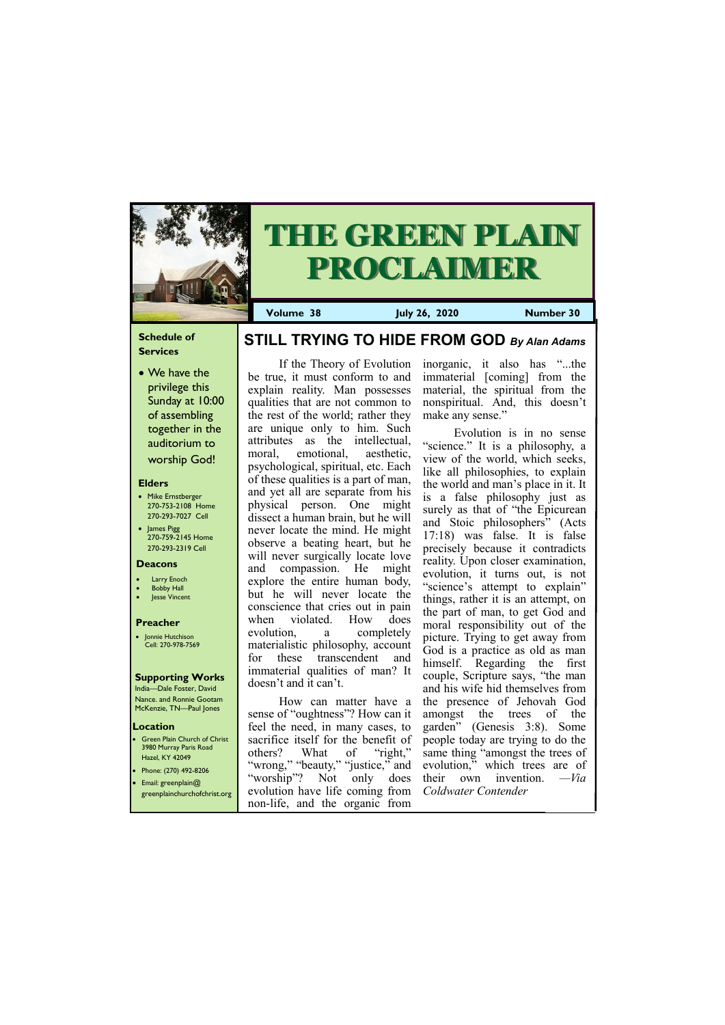#### **Schedule of Services**

• We have the privilege this Sunday at 10:00 of assembling together in the auditorium to worship God!

#### **Elders**

Green Plain Church of Christ 3980 Murray Paris Road Hazel, KY 42049 • Phone: (270) 492-8206

- Mike Ernstberger 270-753-2108 Home 270-293-7027 Cell
- James Pigg 270-759-2145 Home 270-293-2319 Cell

#### **Location**



# **THE GREEN PLAIN PROCLAIMER**

**Volume 38 July 26, 2020 Number 30**

#### **Deacons**

- **Larry Enoch**
- **Bobby Hall**
- **Jesse Vincent**

#### **Preacher**

• Jonnie Hutchison Cell: 270-978-7569

## **Supporting Works**

India—Dale Foster, David Nance. and Ronnie Gootam McKenzie, TN—Paul Jones

How can matter have a sense of "oughtness"? How can it feel the need, in many cases, to sacrifice itself for the benefit of others? What of "right," "wrong," "beauty," "justice," and

If the Theory of Evolution be true, it must conform to and explain reality. Man possesses qualities that are not common to the rest of the world; rather they are unique only to him. Such attributes as the intellectual, moral, emotional, aesthetic, psychological, spiritual, etc. Each of these qualities is a part of man, and yet all are separate from his physical person. One might dissect a human brain, but he will never locate the mind. He might observe a beating heart, but he will never surgically locate love and compassion. He might explore the entire human body, but he will never locate the conscience that cries out in pain when violated. How does evolution, a completely materialistic philosophy, account for these transcendent and immaterial qualities of man? It doesn't and it can't.

| • Email: greenplain $@$ | "worship"? Not only does their own invention. —Via |  |                                                                                         |  |  |  |  |
|-------------------------|----------------------------------------------------|--|-----------------------------------------------------------------------------------------|--|--|--|--|
|                         |                                                    |  | greenplainchurchofchrist.org evolution have life coming from <i>Coldwater Contender</i> |  |  |  |  |
|                         | non-life, and the organic from                     |  |                                                                                         |  |  |  |  |

inorganic, it also has "...the immaterial [coming] from the material, the spiritual from the nonspiritual. And, this doesn't make any sense."

Evolution is in no sense "science." It is a philosophy, a view of the world, which seeks, like all philosophies, to explain the world and man's place in it. It is a false philosophy just as surely as that of "the Epicurean and Stoic philosophers" (Acts 17:18) was false. It is false precisely because it contradicts reality. Upon closer examination, evolution, it turns out, is not "science's attempt to explain" things, rather it is an attempt, on the part of man, to get God and moral responsibility out of the picture. Trying to get away from God is a practice as old as man himself. Regarding the first couple, Scripture says, "the man and his wife hid themselves from the presence of Jehovah God amongst the trees of the garden" (Genesis 3:8). Some people today are trying to do the same thing "amongst the trees of evolution," which trees are of

# **STILL TRYING TO HIDE FROM GOD** *By Alan Adams*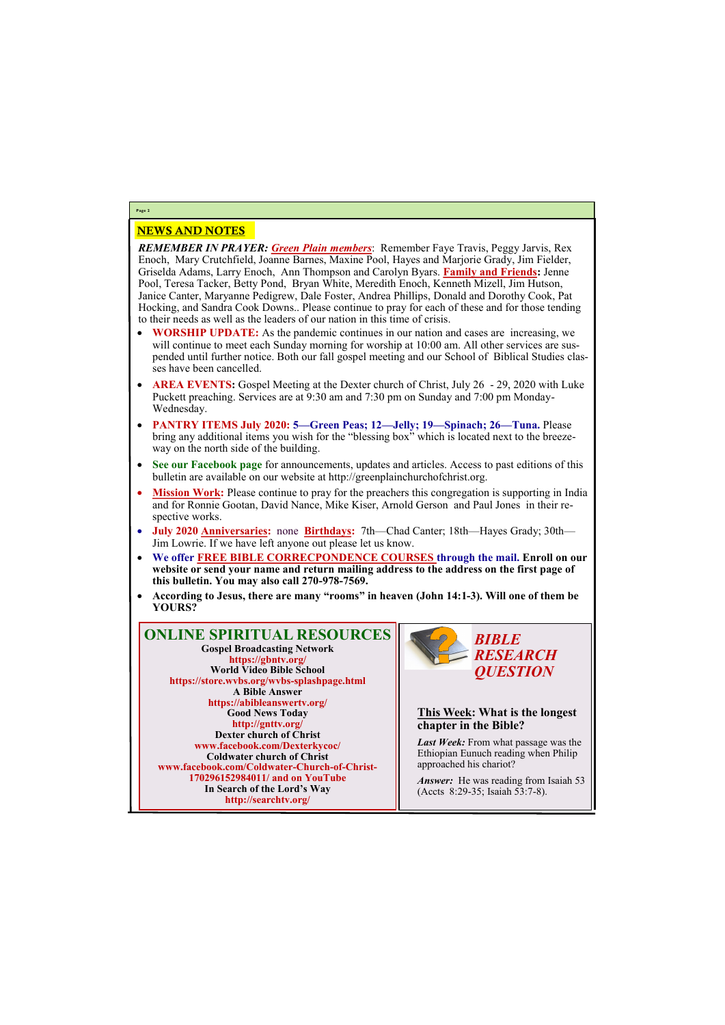### NEWS AND NOTES

*REMEMBER IN PRAYER: Green Plain members*: Remember Faye Travis, Peggy Jarvis, Rex Enoch, Mary Crutchfield, Joanne Barnes, Maxine Pool, Hayes and Marjorie Grady, Jim Fielder, Griselda Adams, Larry Enoch, Ann Thompson and Carolyn Byars. **Family and Friends:** Jenne Pool, Teresa Tacker, Betty Pond, Bryan White, Meredith Enoch, Kenneth Mizell, Jim Hutson, Janice Canter, Maryanne Pedigrew, Dale Foster, Andrea Phillips, Donald and Dorothy Cook, Pat Hocking, and Sandra Cook Downs.. Please continue to pray for each of these and for those tending to their needs as well as the leaders of our nation in this time of crisis.

- **WORSHIP UPDATE:** As the pandemic continues in our nation and cases are increasing, we will continue to meet each Sunday morning for worship at 10:00 am. All other services are suspended until further notice. Both our fall gospel meeting and our School of Biblical Studies classes have been cancelled.
- **AREA EVENTS:** Gospel Meeting at the Dexter church of Christ, July 26 29, 2020 with Luke Puckett preaching. Services are at 9:30 am and 7:30 pm on Sunday and 7:00 pm Monday-Wednesday.
- **PANTRY ITEMS July 2020: 5—Green Peas; 12—Jelly; 19—Spinach; 26—Tuna.** Please bring any additional items you wish for the "blessing box" which is located next to the breezeway on the north side of the building.
- **See our Facebook page** for announcements, updates and articles. Access to past editions of this bulletin are available on our website at http://greenplainchurchofchrist.org.
- **Mission Work:** Please continue to pray for the preachers this congregation is supporting in India and for Ronnie Gootan, David Nance, Mike Kiser, Arnold Gerson and Paul Jones in their respective works.
- **July 2020 Anniversaries:** none **Birthdays:** 7th—Chad Canter; 18th—Hayes Grady; 30th— Jim Lowrie. If we have left anyone out please let us know.
- **We offer FREE BIBLE CORRECPONDENCE COURSES through the mail. Enroll on our website or send your name and return mailing address to the address on the first page of this bulletin. You may also call 270-978-7569.**
- **According to Jesus, there are many "rooms" in heaven (John 14:1-3). Will one of them be YOURS?**

*Answer:* He was reading from Isaiah 53 (Accts 8:29-35; Isaiah 53:7-8).

# **Page 2**

**ONLINE SPIRITUAL RESOURCES Gospel Broadcasting Network https://gbntv.org/ World Video Bible School https://store.wvbs.org/wvbs-splashpage.html A Bible Answer https://abibleanswertv.org/ Good News Today http://gnttv.org/ Dexter church of Christ www.facebook.com/Dexterkycoc/ Coldwater church of Christ www.facebook.com/Coldwater-Church-of-Christ-**

> **170296152984011/ and on YouTube In Search of the Lord's Way http://searchtv.org/**



**This Week: What is the longest chapter in the Bible?**

*Last Week:* From what passage was the Ethiopian Eunuch reading when Philip approached his chariot?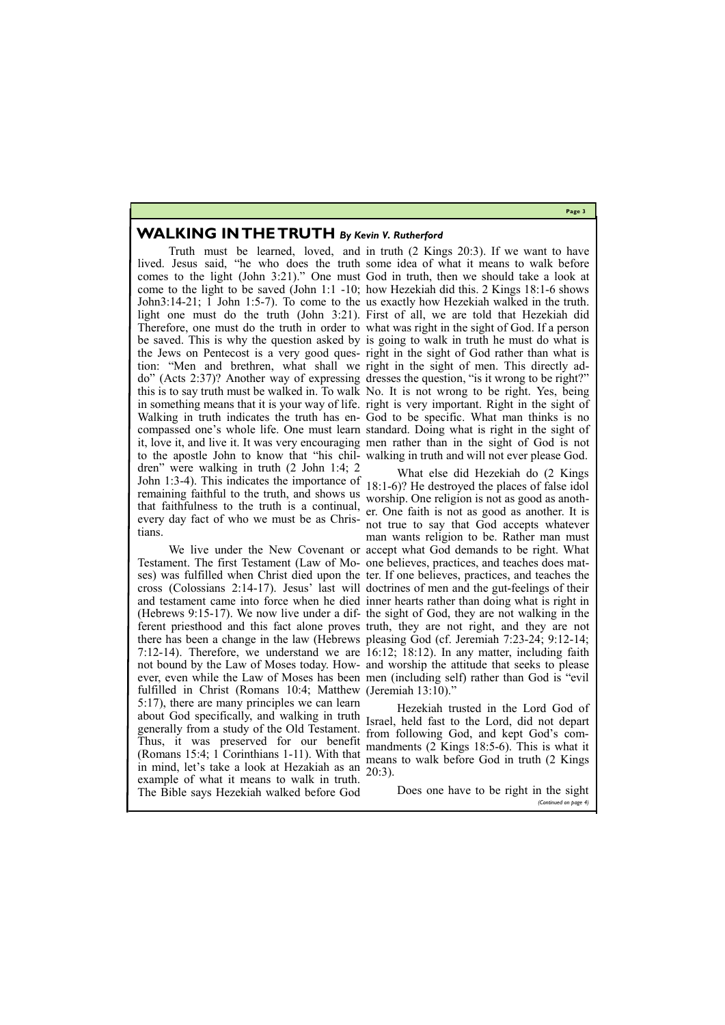#### **Page 3**

## **WALKING IN THE TRUTH** *By Kevin V. Rutherford*

tion: "Men and brethren, what shall we right in the sight of men. This directly adto the apostle John to know that "his chil-walking in truth and will not ever please God. dren" were walking in truth (2 John 1:4; 2 John 1:3-4). This indicates the importance of remaining faithful to the truth, and shows us that faithfulness to the truth is a continual, every day fact of who we must be as Christians.

Truth must be learned, loved, and in truth (2 Kings 20:3). If we want to have lived. Jesus said, "he who does the truth some idea of what it means to walk before comes to the light (John 3:21)." One must God in truth, then we should take a look at come to the light to be saved (John 1:1 -10; how Hezekiah did this. 2 Kings 18:1-6 shows John3:14-21; 1 John 1:5-7). To come to the us exactly how Hezekiah walked in the truth. light one must do the truth (John 3:21). First of all, we are told that Hezekiah did Therefore, one must do the truth in order to what was right in the sight of God. If a person be saved. This is why the question asked by is going to walk in truth he must do what is the Jews on Pentecost is a very good ques-right in the sight of God rather than what is do" (Acts 2:37)? Another way of expressing dresses the question, "is it wrong to be right?" this is to say truth must be walked in. To walk No. It is not wrong to be right. Yes, being in something means that it is your way of life. right is very important. Right in the sight of Walking in truth indicates the truth has en-God to be specific. What man thinks is no compassed one's whole life. One must learn standard. Doing what is right in the sight of it, love it, and live it. It was very encouraging men rather than in the sight of God is not

We live under the New Covenant or accept what God demands to be right. What ses) was fulfilled when Christ died upon the ter. If one believes, practices, and teaches the and testament came into force when he died inner hearts rather than doing what is right in (Hebrews 9:15-17). We now live under a dif-the sight of God, they are not walking in the ferent priesthood and this fact alone proves truth, they are not right, and they are not there has been a change in the law (Hebrews pleasing God (cf. Jeremiah 7:23-24; 9:12-14; 7:12-14). Therefore, we understand we are 16:12; 18:12). In any matter, including faith not bound by the Law of Moses today. How-and worship the attitude that seeks to please ever, even while the Law of Moses has been men (including self) rather than God is "evil What else did Hezekiah do (2 Kings 18:1-6)? He destroyed the places of false idol worship. One religion is not as good as another. One faith is not as good as another. It is not true to say that God accepts whatever man wants religion to be. Rather man must

Testament. The first Testament (Law of Mo-one believes, practices, and teaches does matcross (Colossians 2:14-17). Jesus' last will doctrines of men and the gut-feelings of their fulfilled in Christ (Romans 10:4; Matthew (Jeremiah 13:10)." 5:17), there are many principles we can learn about God specifically, and walking in truth Israel, held fast to the Lord, did not depart generally from a study of the Old Testament. Islact, held hast to the Eold, the not depart Thus, it was preserved for our benefit (Romans 15:4; 1 Corinthians 1-11). With that in mind, let's take a look at Hezakiah as an 20:3).

example of what it means to walk in truth. The Bible says Hezekiah walked before God Does one have to be right in the sight *(Continued on page 4)*

Hezekiah trusted in the Lord God of mandments (2 Kings 18:5-6). This is what it means to walk before God in truth (2 Kings